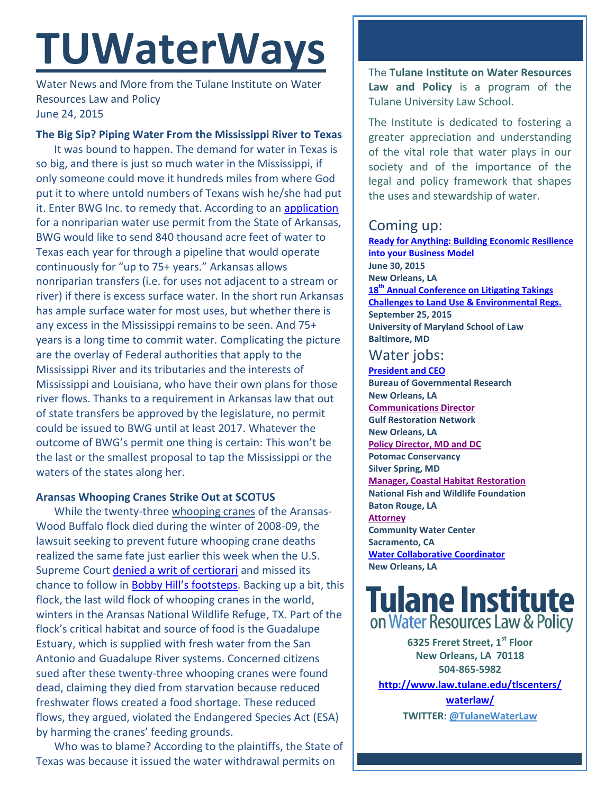# **TUWaterWays**

Water News and More from the Tulane Institute on Water Resources Law and Policy June 24, 2015

## **The Big Sip? Piping Water From the Mississippi River to Texas**

It was bound to happen. The demand for water in Texas is so big, and there is just so much water in the Mississippi, if only someone could move it hundreds miles from where God put it to where untold numbers of Texans wish he/she had put it. Enter BWG Inc. to remedy that. According to an [application](http://www.law.tulane.edu/uploadedFiles/Institutes_and_Centers/Water_Resources_Law_and_Policy/Content/TXNonRipPermitApp.pdf) for a nonriparian water use permit from the State of Arkansas, BWG would like to send 840 thousand acre feet of water to Texas each year for through a pipeline that would operate continuously for "up to 75+ years." Arkansas allows nonriparian transfers (i.e. for uses not adjacent to a stream or river) if there is excess surface water. In the short run Arkansas has ample surface water for most uses, but whether there is any excess in the Mississippi remains to be seen. And 75+ years is a long time to commit water. Complicating the picture are the overlay of Federal authorities that apply to the Mississippi River and its tributaries and the interests of Mississippi and Louisiana, who have their own plans for those river flows. Thanks to a requirement in Arkansas law that out of state transfers be approved by the legislature, no permit could be issued to BWG until at least 2017. Whatever the outcome of BWG's permit one thing is certain: This won't be the last or the smallest proposal to tap the Mississippi or the waters of the states along her.

## **Aransas Whooping Cranes Strike Out at SCOTUS**

While the twenty-three [whooping cranes](https://www.youtube.com/watch?v=BeNfRdpfZVU) of the Aransas-Wood Buffalo flock died during the winter of 2008-09, the lawsuit seeking to prevent future whooping crane deaths realized the same fate just earlier this week when the U.S. Supreme Court [denied a writ of certiorari](http://www.supremecourt.gov/search.aspx?filename=/docketfiles/14-1138.htm) and missed its chance to follow in **Bobby Hill['s footsteps](https://www.youtube.com/watch?v=FkRVCk19ug8)**. Backing up a bit, this flock, the last wild flock of whooping cranes in the world, winters in the Aransas National Wildlife Refuge, TX. Part of the flock's critical habitat and source of food is the Guadalupe Estuary, which is supplied with fresh water from the San Antonio and Guadalupe River systems. Concerned citizens sued after these twenty-three whooping cranes were found dead, claiming they died from starvation because reduced freshwater flows created a food shortage. These reduced flows, they argued, violated the Endangered Species Act (ESA) by harming the cranes' feeding grounds.

Who was to blame? According to the plaintiffs, the State of Texas was because it issued the water withdrawal permits on

The **Tulane Institute on Water Resources Law and Policy** is a program of the Tulane University Law School.

The Institute is dedicated to fostering a greater appreciation and understanding of the vital role that water plays in our society and of the importance of the legal and policy framework that shapes the uses and stewardship of water.

## Coming up:

**[Ready for Anything: Building Economic Resilience](http://www.staylocal.org/events/ready-anything-building-economic-resilience-your-business-model)  [into your Business Model](http://www.staylocal.org/events/ready-anything-building-economic-resilience-your-business-model) June 30, 2015 New Orleans, LA 18th [Annual Conference on Litigating Takings](http://forms.vermontlaw.edu/elc/landuse/Takings15/)  [Challenges to Land Use & Environmental Regs.](http://forms.vermontlaw.edu/elc/landuse/Takings15/) September 25, 2015 University of Maryland School of Law Baltimore, MD**

# Water jobs:

**[President and CEO](http://www.bgr.org/announcements/archives/president-and-ceo-search) Bureau of Governmental Research New Orleans, LA [Communications Director](http://healthygulf.org/who-we-are/jobs/communications-director) Gulf Restoration Network New Orleans, LA [Policy Director, MD and DC](https://static1.squarespace.com/static/52260563e4b0e56a47d7efa6/t/556dfc08e4b01f283c968028/1433271304422/2015+Policy+Director+-+MDDC.pdf) Potomac Conservancy Silver Spring, MD [Manager, Coastal Habitat Restoration](http://www.nfwf.org/whoweare/careers/Pages/manager-coastal.aspx#.VUorEo5Vikp) National Fish and Wildlife Foundation Baton Rouge, LA [Attorney](http://www.communitywatercenter.org/career_opportunities) Community Water Center Sacramento, CA [Water Collaborative Coordinator](http://nolawater.org/2015/06/15/104/) New Orleans, LA**



**6325 Freret Street, 1st Floor New Orleans, LA 70118 504-865-5982** 

**[http://www.law.tulane.edu/tlscenters/](http://www.law.tulane.edu/tlscenters/waterlaw/)**

**[waterlaw/](http://www.law.tulane.edu/tlscenters/waterlaw/) TWITTER: [@TulaneWaterLaw](http://www.twitter.com/TulaneWaterLaw)**